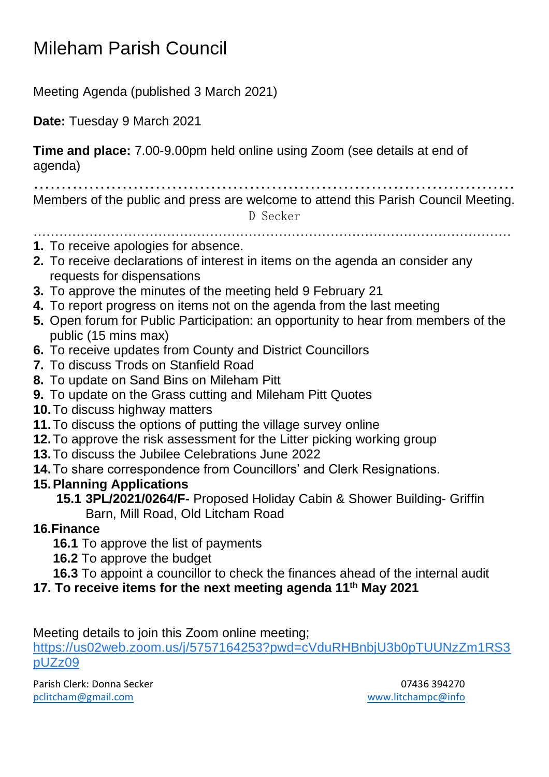## Mileham Parish Council

Meeting Agenda (published 3 March 2021)

**Date:** Tuesday 9 March 2021

**Time and place:** 7.00-9.00pm held online using Zoom (see details at end of agenda)

……………………………………………………………………………

Members of the public and press are welcome to attend this Parish Council Meeting. D Secker

…………………………………………………………………………………………………

- **1.** To receive apologies for absence.
- **2.** To receive declarations of interest in items on the agenda an consider any requests for dispensations
- **3.** To approve the minutes of the meeting held 9 February 21
- **4.** To report progress on items not on the agenda from the last meeting
- **5.** Open forum for Public Participation: an opportunity to hear from members of the public (15 mins max)
- **6.** To receive updates from County and District Councillors
- **7.** To discuss Trods on Stanfield Road
- **8.** To update on Sand Bins on Mileham Pitt
- **9.** To update on the Grass cutting and Mileham Pitt Quotes
- **10.**To discuss highway matters
- **11.**To discuss the options of putting the village survey online
- **12.**To approve the risk assessment for the Litter picking working group
- **13.**To discuss the Jubilee Celebrations June 2022
- **14.**To share correspondence from Councillors' and Clerk Resignations.

## **15.Planning Applications**

**15.1 3PL/2021/0264/F-** Proposed Holiday Cabin & Shower Building- Griffin Barn, Mill Road, Old Litcham Road

## **16.Finance**

- **16.1** To approve the list of payments
- **16.2** To approve the budget
- **16.3** To appoint a councillor to check the finances ahead of the internal audit
- **17. To receive items for the next meeting agenda 11th May 2021**

Meeting details to join this Zoom online meeting;

[https://us02web.zoom.us/j/5757164253?pwd=cVduRHBnbjU3b0pTUUNzZm1RS3](https://www.google.com/url?q=https://us02web.zoom.us/j/5757164253?pwd%3DcVduRHBnbjU3b0pTUUNzZm1RS3pUZz09&sa=D&source=calendar&usd=2&usg=AOvVaw2gZfrGOR61tFRXJ__EHzSN) [pUZz09](https://www.google.com/url?q=https://us02web.zoom.us/j/5757164253?pwd%3DcVduRHBnbjU3b0pTUUNzZm1RS3pUZz09&sa=D&source=calendar&usd=2&usg=AOvVaw2gZfrGOR61tFRXJ__EHzSN)

Parish Clerk: Donna Secker 07436 394270 [pclitcham@gmail.com](mailto:pclitcham@gmail.com) [www.litchampc@info](http://www.litchampc@info/)